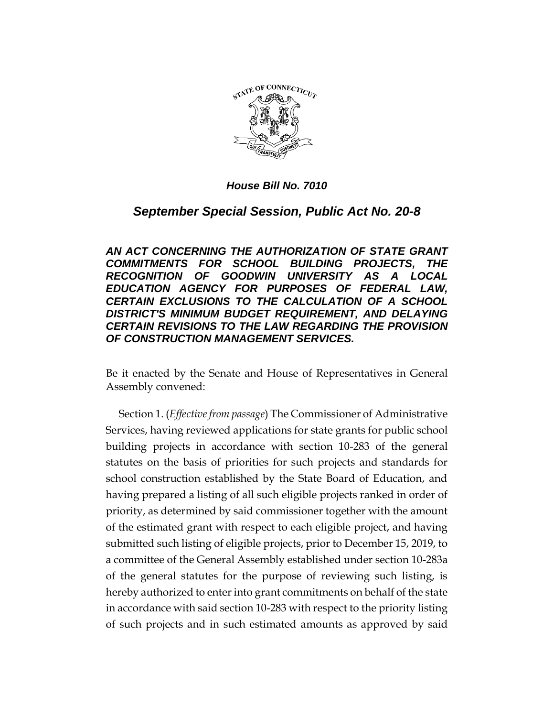

*September Special Session, Public Act No. 20-8*

*AN ACT CONCERNING THE AUTHORIZATION OF STATE GRANT COMMITMENTS FOR SCHOOL BUILDING PROJECTS, THE RECOGNITION OF GOODWIN UNIVERSITY AS A LOCAL EDUCATION AGENCY FOR PURPOSES OF FEDERAL LAW, CERTAIN EXCLUSIONS TO THE CALCULATION OF A SCHOOL DISTRICT'S MINIMUM BUDGET REQUIREMENT, AND DELAYING CERTAIN REVISIONS TO THE LAW REGARDING THE PROVISION OF CONSTRUCTION MANAGEMENT SERVICES.*

Be it enacted by the Senate and House of Representatives in General Assembly convened:

Section 1. (*Effective from passage*) The Commissioner of Administrative Services, having reviewed applications for state grants for public school building projects in accordance with section 10-283 of the general statutes on the basis of priorities for such projects and standards for school construction established by the State Board of Education, and having prepared a listing of all such eligible projects ranked in order of priority, as determined by said commissioner together with the amount of the estimated grant with respect to each eligible project, and having submitted such listing of eligible projects, prior to December 15, 2019, to a committee of the General Assembly established under section 10-283a of the general statutes for the purpose of reviewing such listing, is hereby authorized to enter into grant commitments on behalf of the state in accordance with said section 10-283 with respect to the priority listing of such projects and in such estimated amounts as approved by said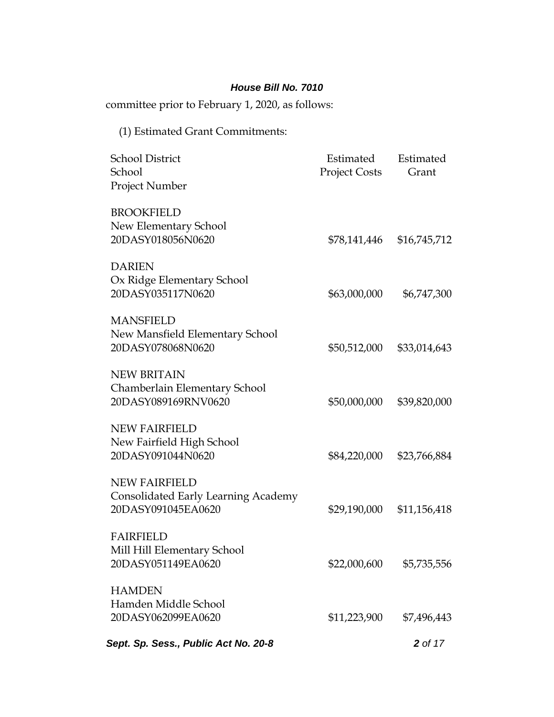committee prior to February 1, 2020, as follows:

# (1) Estimated Grant Commitments:

| <b>School District</b><br>School<br>Project Number                                       | Estimated<br><b>Project Costs</b> | Estimated<br>Grant |
|------------------------------------------------------------------------------------------|-----------------------------------|--------------------|
| <b>BROOKFIELD</b><br>New Elementary School<br>20DASY018056N0620                          | \$78,141,446                      | \$16,745,712       |
| <b>DARIEN</b><br>Ox Ridge Elementary School<br>20DASY035117N0620                         | \$63,000,000                      | \$6,747,300        |
| <b>MANSFIELD</b><br>New Mansfield Elementary School<br>20DASY078068N0620                 | \$50,512,000                      | \$33,014,643       |
| <b>NEW BRITAIN</b><br>Chamberlain Elementary School<br>20DASY089169RNV0620               | \$50,000,000                      | \$39,820,000       |
| <b>NEW FAIRFIELD</b><br>New Fairfield High School<br>20DASY091044N0620                   | \$84,220,000                      | \$23,766,884       |
| <b>NEW FAIRFIELD</b><br><b>Consolidated Early Learning Academy</b><br>20DASY091045EA0620 | \$29,190,000                      | \$11,156,418       |
| <b>FAIRFIELD</b><br>Mill Hill Elementary School<br>20DASY051149EA0620                    | \$22,000,600                      | \$5,735,556        |
| <b>HAMDEN</b><br>Hamden Middle School<br>20DASY062099EA0620                              | \$11,223,900                      | \$7,496,443        |
| Sept. Sp. Sess., Public Act No. 20-8                                                     |                                   | 2 of 17            |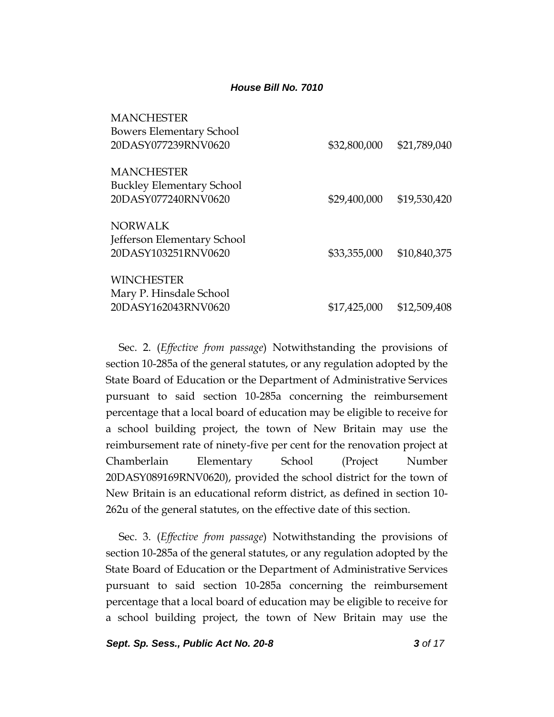| <b>MANCHESTER</b>                |              |              |
|----------------------------------|--------------|--------------|
| <b>Bowers Elementary School</b>  |              |              |
| 20DASY077239RNV0620              | \$32,800,000 | \$21,789,040 |
| <b>MANCHESTER</b>                |              |              |
| <b>Buckley Elementary School</b> |              |              |
| 20DASY077240RNV0620              | \$29,400,000 | \$19,530,420 |
| <b>NORWALK</b>                   |              |              |
| Jefferson Elementary School      |              |              |
| 20DASY103251RNV0620              | \$33,355,000 | \$10,840,375 |
| <b>WINCHESTER</b>                |              |              |
| Mary P. Hinsdale School          |              |              |
| 20DASY162043RNV0620              | \$17,425,000 | \$12,509,408 |
|                                  |              |              |

Sec. 2. (*Effective from passage*) Notwithstanding the provisions of section 10-285a of the general statutes, or any regulation adopted by the State Board of Education or the Department of Administrative Services pursuant to said section 10-285a concerning the reimbursement percentage that a local board of education may be eligible to receive for a school building project, the town of New Britain may use the reimbursement rate of ninety-five per cent for the renovation project at Chamberlain Elementary School (Project Number 20DASY089169RNV0620), provided the school district for the town of New Britain is an educational reform district, as defined in section 10- 262u of the general statutes, on the effective date of this section.

Sec. 3. (*Effective from passage*) Notwithstanding the provisions of section 10-285a of the general statutes, or any regulation adopted by the State Board of Education or the Department of Administrative Services pursuant to said section 10-285a concerning the reimbursement percentage that a local board of education may be eligible to receive for a school building project, the town of New Britain may use the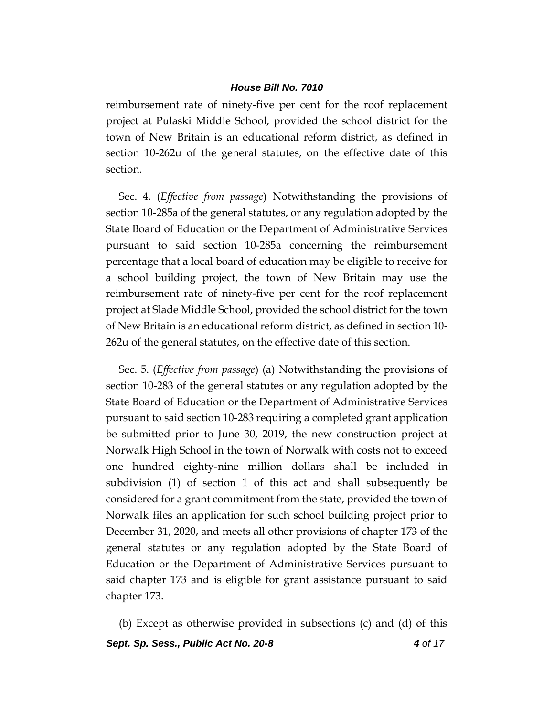reimbursement rate of ninety-five per cent for the roof replacement project at Pulaski Middle School, provided the school district for the town of New Britain is an educational reform district, as defined in section 10-262u of the general statutes, on the effective date of this section.

Sec. 4. (*Effective from passage*) Notwithstanding the provisions of section 10-285a of the general statutes, or any regulation adopted by the State Board of Education or the Department of Administrative Services pursuant to said section 10-285a concerning the reimbursement percentage that a local board of education may be eligible to receive for a school building project, the town of New Britain may use the reimbursement rate of ninety-five per cent for the roof replacement project at Slade Middle School, provided the school district for the town of New Britain is an educational reform district, as defined in section 10- 262u of the general statutes, on the effective date of this section.

Sec. 5. (*Effective from passage*) (a) Notwithstanding the provisions of section 10-283 of the general statutes or any regulation adopted by the State Board of Education or the Department of Administrative Services pursuant to said section 10-283 requiring a completed grant application be submitted prior to June 30, 2019, the new construction project at Norwalk High School in the town of Norwalk with costs not to exceed one hundred eighty-nine million dollars shall be included in subdivision (1) of section 1 of this act and shall subsequently be considered for a grant commitment from the state, provided the town of Norwalk files an application for such school building project prior to December 31, 2020, and meets all other provisions of chapter 173 of the general statutes or any regulation adopted by the State Board of Education or the Department of Administrative Services pursuant to said chapter 173 and is eligible for grant assistance pursuant to said chapter 173.

(b) Except as otherwise provided in subsections (c) and (d) of this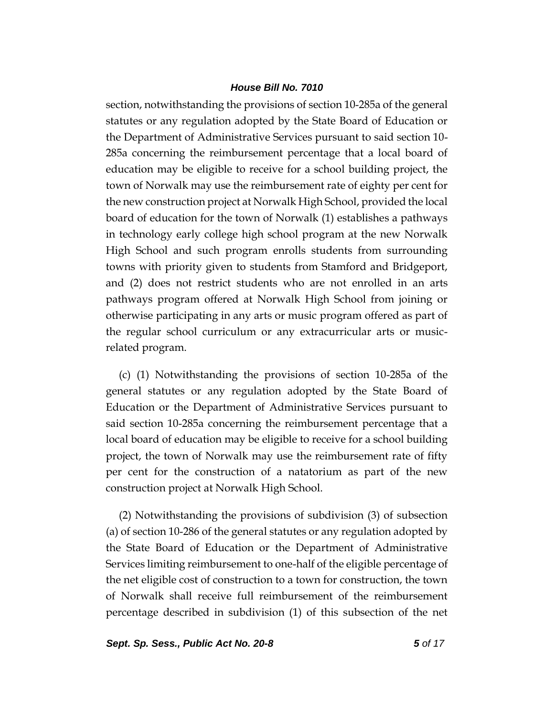section, notwithstanding the provisions of section 10-285a of the general statutes or any regulation adopted by the State Board of Education or the Department of Administrative Services pursuant to said section 10- 285a concerning the reimbursement percentage that a local board of education may be eligible to receive for a school building project, the town of Norwalk may use the reimbursement rate of eighty per cent for the new construction project at Norwalk High School, provided the local board of education for the town of Norwalk (1) establishes a pathways in technology early college high school program at the new Norwalk High School and such program enrolls students from surrounding towns with priority given to students from Stamford and Bridgeport, and (2) does not restrict students who are not enrolled in an arts pathways program offered at Norwalk High School from joining or otherwise participating in any arts or music program offered as part of the regular school curriculum or any extracurricular arts or musicrelated program.

(c) (1) Notwithstanding the provisions of section 10-285a of the general statutes or any regulation adopted by the State Board of Education or the Department of Administrative Services pursuant to said section 10-285a concerning the reimbursement percentage that a local board of education may be eligible to receive for a school building project, the town of Norwalk may use the reimbursement rate of fifty per cent for the construction of a natatorium as part of the new construction project at Norwalk High School.

(2) Notwithstanding the provisions of subdivision (3) of subsection (a) of section 10-286 of the general statutes or any regulation adopted by the State Board of Education or the Department of Administrative Services limiting reimbursement to one-half of the eligible percentage of the net eligible cost of construction to a town for construction, the town of Norwalk shall receive full reimbursement of the reimbursement percentage described in subdivision (1) of this subsection of the net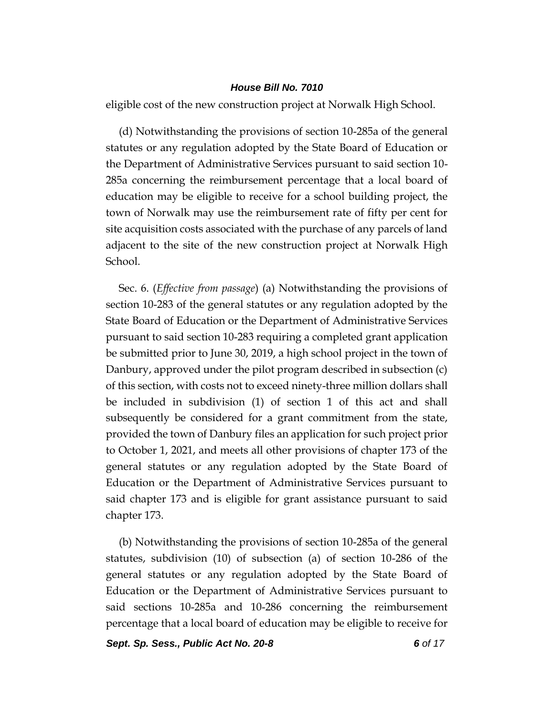eligible cost of the new construction project at Norwalk High School.

(d) Notwithstanding the provisions of section 10-285a of the general statutes or any regulation adopted by the State Board of Education or the Department of Administrative Services pursuant to said section 10- 285a concerning the reimbursement percentage that a local board of education may be eligible to receive for a school building project, the town of Norwalk may use the reimbursement rate of fifty per cent for site acquisition costs associated with the purchase of any parcels of land adjacent to the site of the new construction project at Norwalk High School.

Sec. 6. (*Effective from passage*) (a) Notwithstanding the provisions of section 10-283 of the general statutes or any regulation adopted by the State Board of Education or the Department of Administrative Services pursuant to said section 10-283 requiring a completed grant application be submitted prior to June 30, 2019, a high school project in the town of Danbury, approved under the pilot program described in subsection (c) of this section, with costs not to exceed ninety-three million dollars shall be included in subdivision (1) of section 1 of this act and shall subsequently be considered for a grant commitment from the state, provided the town of Danbury files an application for such project prior to October 1, 2021, and meets all other provisions of chapter 173 of the general statutes or any regulation adopted by the State Board of Education or the Department of Administrative Services pursuant to said chapter 173 and is eligible for grant assistance pursuant to said chapter 173.

(b) Notwithstanding the provisions of section 10-285a of the general statutes, subdivision (10) of subsection (a) of section 10-286 of the general statutes or any regulation adopted by the State Board of Education or the Department of Administrative Services pursuant to said sections 10-285a and 10-286 concerning the reimbursement percentage that a local board of education may be eligible to receive for

*Sept. Sp. Sess., Public Act No. 20-8 6 of 17*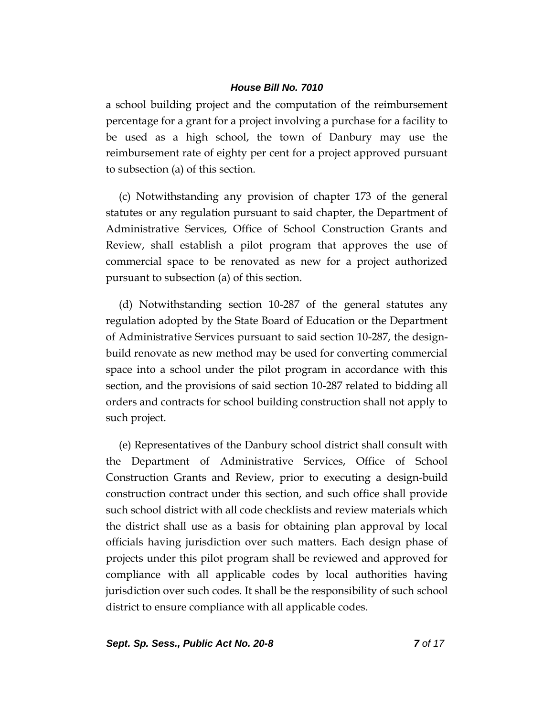a school building project and the computation of the reimbursement percentage for a grant for a project involving a purchase for a facility to be used as a high school, the town of Danbury may use the reimbursement rate of eighty per cent for a project approved pursuant to subsection (a) of this section.

(c) Notwithstanding any provision of chapter 173 of the general statutes or any regulation pursuant to said chapter, the Department of Administrative Services, Office of School Construction Grants and Review, shall establish a pilot program that approves the use of commercial space to be renovated as new for a project authorized pursuant to subsection (a) of this section.

(d) Notwithstanding section 10-287 of the general statutes any regulation adopted by the State Board of Education or the Department of Administrative Services pursuant to said section 10-287, the designbuild renovate as new method may be used for converting commercial space into a school under the pilot program in accordance with this section, and the provisions of said section 10-287 related to bidding all orders and contracts for school building construction shall not apply to such project.

(e) Representatives of the Danbury school district shall consult with the Department of Administrative Services, Office of School Construction Grants and Review, prior to executing a design-build construction contract under this section, and such office shall provide such school district with all code checklists and review materials which the district shall use as a basis for obtaining plan approval by local officials having jurisdiction over such matters. Each design phase of projects under this pilot program shall be reviewed and approved for compliance with all applicable codes by local authorities having jurisdiction over such codes. It shall be the responsibility of such school district to ensure compliance with all applicable codes.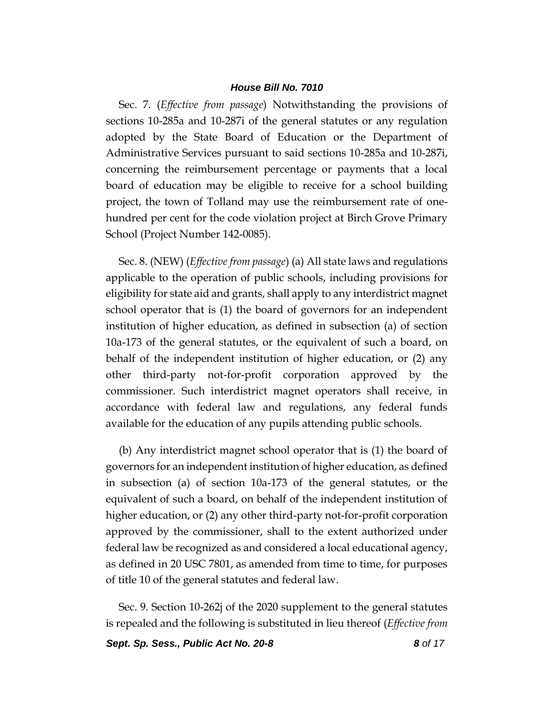Sec. 7. (*Effective from passage*) Notwithstanding the provisions of sections 10-285a and 10-287i of the general statutes or any regulation adopted by the State Board of Education or the Department of Administrative Services pursuant to said sections 10-285a and 10-287i, concerning the reimbursement percentage or payments that a local board of education may be eligible to receive for a school building project, the town of Tolland may use the reimbursement rate of onehundred per cent for the code violation project at Birch Grove Primary School (Project Number 142-0085).

Sec. 8. (NEW) (*Effective from passage*) (a) All state laws and regulations applicable to the operation of public schools, including provisions for eligibility for state aid and grants, shall apply to any interdistrict magnet school operator that is (1) the board of governors for an independent institution of higher education, as defined in subsection (a) of section 10a-173 of the general statutes, or the equivalent of such a board, on behalf of the independent institution of higher education, or (2) any other third-party not-for-profit corporation approved by the commissioner. Such interdistrict magnet operators shall receive, in accordance with federal law and regulations, any federal funds available for the education of any pupils attending public schools.

(b) Any interdistrict magnet school operator that is (1) the board of governors for an independent institution of higher education, as defined in subsection (a) of section 10a-173 of the general statutes, or the equivalent of such a board, on behalf of the independent institution of higher education, or (2) any other third-party not-for-profit corporation approved by the commissioner, shall to the extent authorized under federal law be recognized as and considered a local educational agency, as defined in 20 USC 7801, as amended from time to time, for purposes of title 10 of the general statutes and federal law.

Sec. 9. Section 10-262j of the 2020 supplement to the general statutes is repealed and the following is substituted in lieu thereof (*Effective from* 

*Sept. Sp. Sess., Public Act No. 20-8 8 of 17*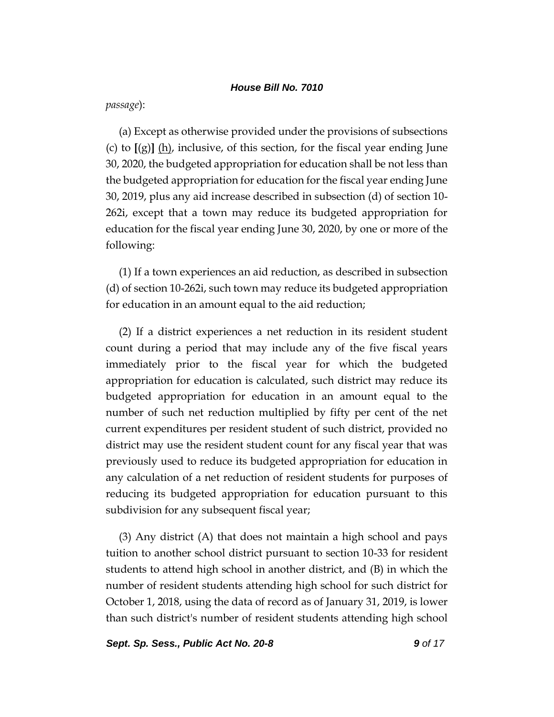*passage*):

(a) Except as otherwise provided under the provisions of subsections (c) to **[**(g)**]** (h), inclusive, of this section, for the fiscal year ending June 30, 2020, the budgeted appropriation for education shall be not less than the budgeted appropriation for education for the fiscal year ending June 30, 2019, plus any aid increase described in subsection (d) of section 10- 262i, except that a town may reduce its budgeted appropriation for education for the fiscal year ending June 30, 2020, by one or more of the following:

(1) If a town experiences an aid reduction, as described in subsection (d) of section 10-262i, such town may reduce its budgeted appropriation for education in an amount equal to the aid reduction;

(2) If a district experiences a net reduction in its resident student count during a period that may include any of the five fiscal years immediately prior to the fiscal year for which the budgeted appropriation for education is calculated, such district may reduce its budgeted appropriation for education in an amount equal to the number of such net reduction multiplied by fifty per cent of the net current expenditures per resident student of such district, provided no district may use the resident student count for any fiscal year that was previously used to reduce its budgeted appropriation for education in any calculation of a net reduction of resident students for purposes of reducing its budgeted appropriation for education pursuant to this subdivision for any subsequent fiscal year;

(3) Any district (A) that does not maintain a high school and pays tuition to another school district pursuant to section 10-33 for resident students to attend high school in another district, and (B) in which the number of resident students attending high school for such district for October 1, 2018, using the data of record as of January 31, 2019, is lower than such district's number of resident students attending high school

*Sept. Sp. Sess., Public Act No. 20-8 9 of 17*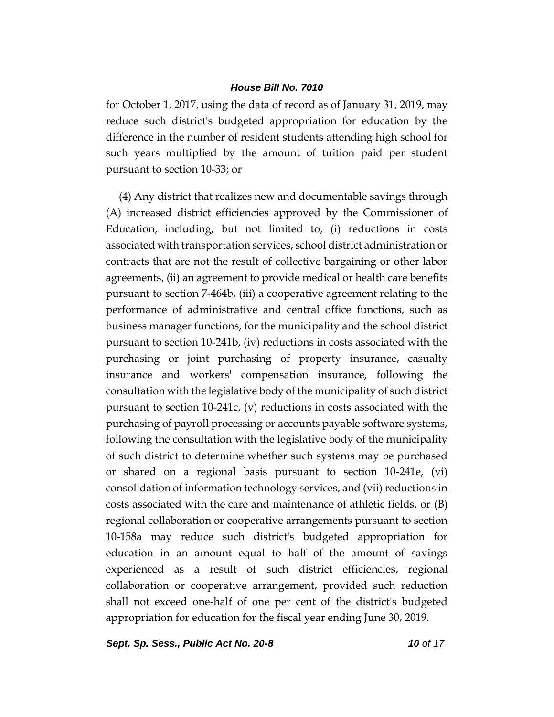for October 1, 2017, using the data of record as of January 31, 2019, may reduce such district's budgeted appropriation for education by the difference in the number of resident students attending high school for such years multiplied by the amount of tuition paid per student pursuant to section 10-33; or

(4) Any district that realizes new and documentable savings through (A) increased district efficiencies approved by the Commissioner of Education, including, but not limited to, (i) reductions in costs associated with transportation services, school district administration or contracts that are not the result of collective bargaining or other labor agreements, (ii) an agreement to provide medical or health care benefits pursuant to section 7-464b, (iii) a cooperative agreement relating to the performance of administrative and central office functions, such as business manager functions, for the municipality and the school district pursuant to section 10-241b, (iv) reductions in costs associated with the purchasing or joint purchasing of property insurance, casualty insurance and workers' compensation insurance, following the consultation with the legislative body of the municipality of such district pursuant to section 10-241c, (v) reductions in costs associated with the purchasing of payroll processing or accounts payable software systems, following the consultation with the legislative body of the municipality of such district to determine whether such systems may be purchased or shared on a regional basis pursuant to section 10-241e, (vi) consolidation of information technology services, and (vii) reductions in costs associated with the care and maintenance of athletic fields, or (B) regional collaboration or cooperative arrangements pursuant to section 10-158a may reduce such district's budgeted appropriation for education in an amount equal to half of the amount of savings experienced as a result of such district efficiencies, regional collaboration or cooperative arrangement, provided such reduction shall not exceed one-half of one per cent of the district's budgeted appropriation for education for the fiscal year ending June 30, 2019.

*Sept. Sp. Sess., Public Act No. 20-8 10 of 17*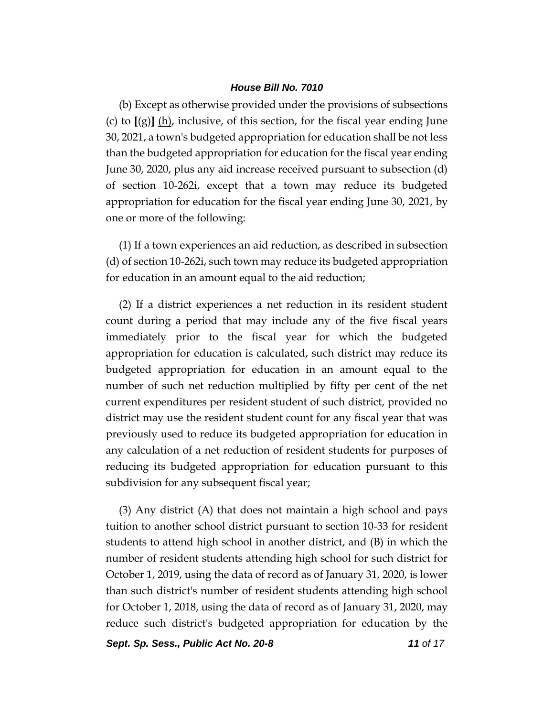(b) Except as otherwise provided under the provisions of subsections (c) to  $\left[\left(g\right)\right]$  (h), inclusive, of this section, for the fiscal year ending June 30, 2021, a town's budgeted appropriation for education shall be not less than the budgeted appropriation for education for the fiscal year ending June 30, 2020, plus any aid increase received pursuant to subsection (d) of section 10-262i, except that a town may reduce its budgeted appropriation for education for the fiscal year ending June 30, 2021, by one or more of the following:

(1) If a town experiences an aid reduction, as described in subsection (d) of section 10-262i, such town may reduce its budgeted appropriation for education in an amount equal to the aid reduction;

(2) If a district experiences a net reduction in its resident student count during a period that may include any of the five fiscal years immediately prior to the fiscal year for which the budgeted appropriation for education is calculated, such district may reduce its budgeted appropriation for education in an amount equal to the number of such net reduction multiplied by fifty per cent of the net current expenditures per resident student of such district, provided no district may use the resident student count for any fiscal year that was previously used to reduce its budgeted appropriation for education in any calculation of a net reduction of resident students for purposes of reducing its budgeted appropriation for education pursuant to this subdivision for any subsequent fiscal year;

(3) Any district (A) that does not maintain a high school and pays tuition to another school district pursuant to section 10-33 for resident students to attend high school in another district, and (B) in which the number of resident students attending high school for such district for October 1, 2019, using the data of record as of January 31, 2020, is lower than such district's number of resident students attending high school for October 1, 2018, using the data of record as of January 31, 2020, may reduce such district's budgeted appropriation for education by the

*Sept. Sp. Sess., Public Act No. 20-8 11 of 17*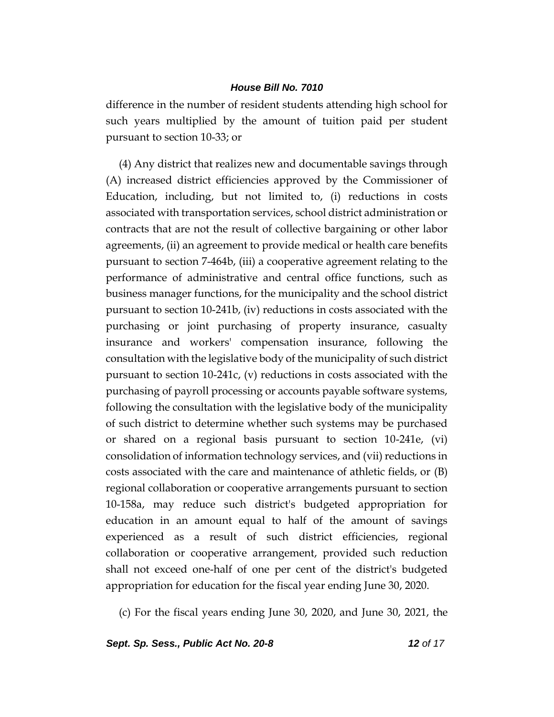difference in the number of resident students attending high school for such years multiplied by the amount of tuition paid per student pursuant to section 10-33; or

(4) Any district that realizes new and documentable savings through (A) increased district efficiencies approved by the Commissioner of Education, including, but not limited to, (i) reductions in costs associated with transportation services, school district administration or contracts that are not the result of collective bargaining or other labor agreements, (ii) an agreement to provide medical or health care benefits pursuant to section 7-464b, (iii) a cooperative agreement relating to the performance of administrative and central office functions, such as business manager functions, for the municipality and the school district pursuant to section 10-241b, (iv) reductions in costs associated with the purchasing or joint purchasing of property insurance, casualty insurance and workers' compensation insurance, following the consultation with the legislative body of the municipality of such district pursuant to section 10-241c, (v) reductions in costs associated with the purchasing of payroll processing or accounts payable software systems, following the consultation with the legislative body of the municipality of such district to determine whether such systems may be purchased or shared on a regional basis pursuant to section 10-241e, (vi) consolidation of information technology services, and (vii) reductions in costs associated with the care and maintenance of athletic fields, or (B) regional collaboration or cooperative arrangements pursuant to section 10-158a, may reduce such district's budgeted appropriation for education in an amount equal to half of the amount of savings experienced as a result of such district efficiencies, regional collaboration or cooperative arrangement, provided such reduction shall not exceed one-half of one per cent of the district's budgeted appropriation for education for the fiscal year ending June 30, 2020.

(c) For the fiscal years ending June 30, 2020, and June 30, 2021, the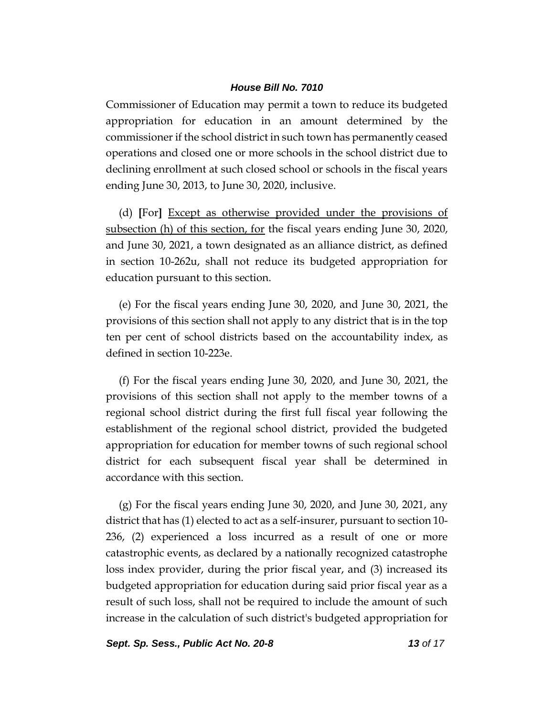Commissioner of Education may permit a town to reduce its budgeted appropriation for education in an amount determined by the commissioner if the school district in such town has permanently ceased operations and closed one or more schools in the school district due to declining enrollment at such closed school or schools in the fiscal years ending June 30, 2013, to June 30, 2020, inclusive.

(d) **[**For**]** Except as otherwise provided under the provisions of subsection (h) of this section, for the fiscal years ending June 30, 2020, and June 30, 2021, a town designated as an alliance district, as defined in section 10-262u, shall not reduce its budgeted appropriation for education pursuant to this section.

(e) For the fiscal years ending June 30, 2020, and June 30, 2021, the provisions of this section shall not apply to any district that is in the top ten per cent of school districts based on the accountability index, as defined in section 10-223e.

(f) For the fiscal years ending June 30, 2020, and June 30, 2021, the provisions of this section shall not apply to the member towns of a regional school district during the first full fiscal year following the establishment of the regional school district, provided the budgeted appropriation for education for member towns of such regional school district for each subsequent fiscal year shall be determined in accordance with this section.

(g) For the fiscal years ending June 30, 2020, and June 30, 2021, any district that has (1) elected to act as a self-insurer, pursuant to section 10- 236, (2) experienced a loss incurred as a result of one or more catastrophic events, as declared by a nationally recognized catastrophe loss index provider, during the prior fiscal year, and (3) increased its budgeted appropriation for education during said prior fiscal year as a result of such loss, shall not be required to include the amount of such increase in the calculation of such district's budgeted appropriation for

*Sept. Sp. Sess., Public Act No. 20-8 13 of 17*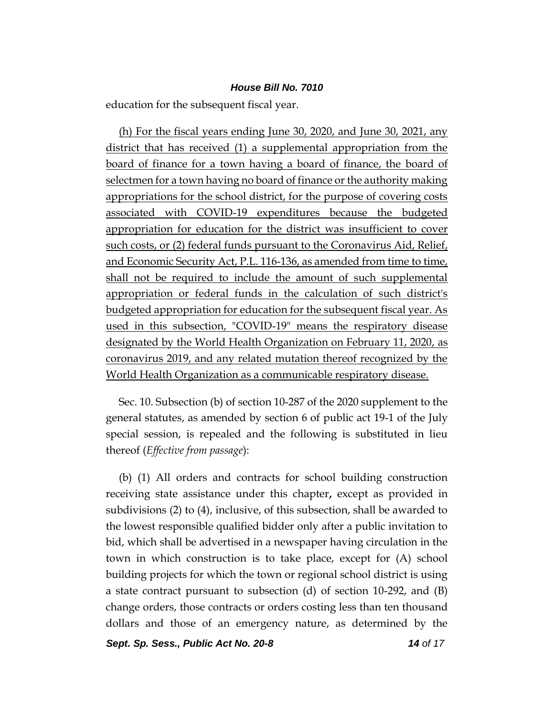education for the subsequent fiscal year.

(h) For the fiscal years ending June 30, 2020, and June 30, 2021, any district that has received (1) a supplemental appropriation from the board of finance for a town having a board of finance, the board of selectmen for a town having no board of finance or the authority making appropriations for the school district, for the purpose of covering costs associated with COVID-19 expenditures because the budgeted appropriation for education for the district was insufficient to cover such costs, or (2) federal funds pursuant to the Coronavirus Aid, Relief, and Economic Security Act, P.L. 116-136, as amended from time to time, shall not be required to include the amount of such supplemental appropriation or federal funds in the calculation of such district's budgeted appropriation for education for the subsequent fiscal year. As used in this subsection, "COVID-19" means the respiratory disease designated by the World Health Organization on February 11, 2020, as coronavirus 2019, and any related mutation thereof recognized by the World Health Organization as a communicable respiratory disease.

Sec. 10. Subsection (b) of section 10-287 of the 2020 supplement to the general statutes, as amended by section 6 of public act 19-1 of the July special session, is repealed and the following is substituted in lieu thereof (*Effective from passage*):

(b) (1) All orders and contracts for school building construction receiving state assistance under this chapter**,** except as provided in subdivisions (2) to (4), inclusive, of this subsection, shall be awarded to the lowest responsible qualified bidder only after a public invitation to bid, which shall be advertised in a newspaper having circulation in the town in which construction is to take place, except for (A) school building projects for which the town or regional school district is using a state contract pursuant to subsection (d) of section 10-292, and (B) change orders, those contracts or orders costing less than ten thousand dollars and those of an emergency nature, as determined by the

*Sept. Sp. Sess., Public Act No. 20-8 14 of 17*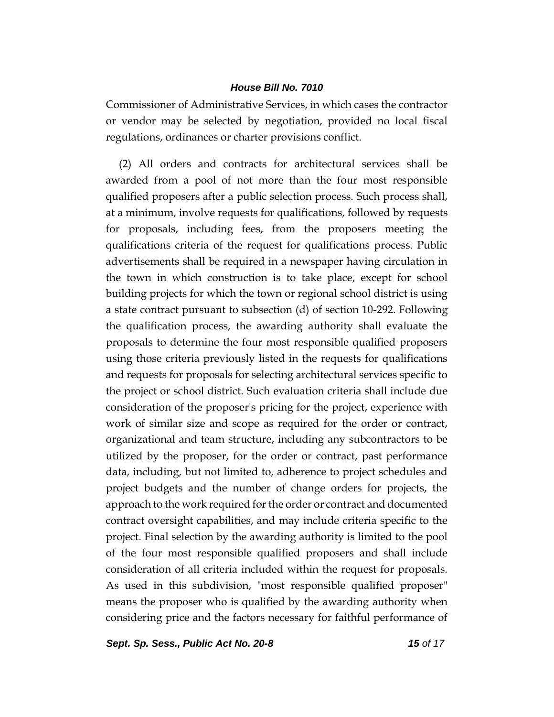Commissioner of Administrative Services, in which cases the contractor or vendor may be selected by negotiation, provided no local fiscal regulations, ordinances or charter provisions conflict.

(2) All orders and contracts for architectural services shall be awarded from a pool of not more than the four most responsible qualified proposers after a public selection process. Such process shall, at a minimum, involve requests for qualifications, followed by requests for proposals, including fees, from the proposers meeting the qualifications criteria of the request for qualifications process. Public advertisements shall be required in a newspaper having circulation in the town in which construction is to take place, except for school building projects for which the town or regional school district is using a state contract pursuant to subsection (d) of section 10-292. Following the qualification process, the awarding authority shall evaluate the proposals to determine the four most responsible qualified proposers using those criteria previously listed in the requests for qualifications and requests for proposals for selecting architectural services specific to the project or school district. Such evaluation criteria shall include due consideration of the proposer's pricing for the project, experience with work of similar size and scope as required for the order or contract, organizational and team structure, including any subcontractors to be utilized by the proposer, for the order or contract, past performance data, including, but not limited to, adherence to project schedules and project budgets and the number of change orders for projects, the approach to the work required for the order or contract and documented contract oversight capabilities, and may include criteria specific to the project. Final selection by the awarding authority is limited to the pool of the four most responsible qualified proposers and shall include consideration of all criteria included within the request for proposals. As used in this subdivision, "most responsible qualified proposer" means the proposer who is qualified by the awarding authority when considering price and the factors necessary for faithful performance of

*Sept. Sp. Sess., Public Act No. 20-8 15 of 17*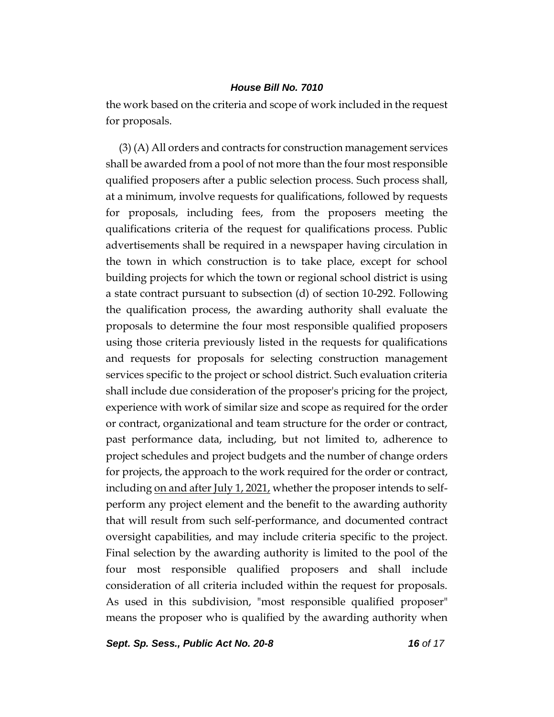the work based on the criteria and scope of work included in the request for proposals.

(3) (A) All orders and contracts for construction management services shall be awarded from a pool of not more than the four most responsible qualified proposers after a public selection process. Such process shall, at a minimum, involve requests for qualifications, followed by requests for proposals, including fees, from the proposers meeting the qualifications criteria of the request for qualifications process. Public advertisements shall be required in a newspaper having circulation in the town in which construction is to take place, except for school building projects for which the town or regional school district is using a state contract pursuant to subsection (d) of section 10-292. Following the qualification process, the awarding authority shall evaluate the proposals to determine the four most responsible qualified proposers using those criteria previously listed in the requests for qualifications and requests for proposals for selecting construction management services specific to the project or school district. Such evaluation criteria shall include due consideration of the proposer's pricing for the project, experience with work of similar size and scope as required for the order or contract, organizational and team structure for the order or contract, past performance data, including, but not limited to, adherence to project schedules and project budgets and the number of change orders for projects, the approach to the work required for the order or contract, including <u>on and after July 1, 2021</u>, whether the proposer intends to selfperform any project element and the benefit to the awarding authority that will result from such self-performance, and documented contract oversight capabilities, and may include criteria specific to the project. Final selection by the awarding authority is limited to the pool of the four most responsible qualified proposers and shall include consideration of all criteria included within the request for proposals. As used in this subdivision, "most responsible qualified proposer" means the proposer who is qualified by the awarding authority when

*Sept. Sp. Sess., Public Act No. 20-8 16 of 17*